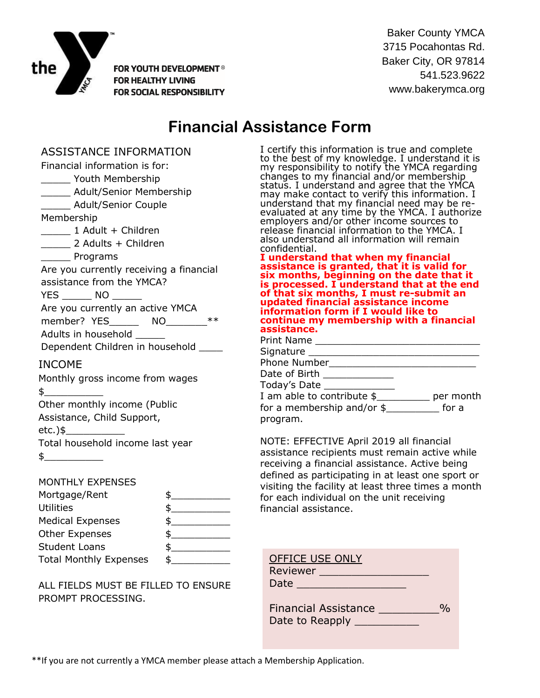

FOR YOUTH DEVELOPMENT<sup>®</sup> **FOR HEALTHY LIVING FOR SOCIAL RESPONSIBILITY** 

Baker County YMCA 3715 Pocahontas Rd. Baker City, OR 97814 541.523.9622 www.bakerymca.org

## **Financial Assistance Form**

ASSISTANCE INFORMATION Financial information is for: \_\_\_\_\_ Youth Membership \_\_\_\_\_ Adult/Senior Membership \_\_\_\_\_ Adult/Senior Couple Membership \_\_\_\_\_ 1 Adult + Children \_\_\_\_\_ 2 Adults + Children Programs Are you currently receiving a financial assistance from the YMCA? YES NO Are you currently an active YMCA member? YES\_\_\_\_\_\_\_\_ NO Adults in household Dependent Children in household INCOME Monthly gross income from wages  $\updownarrow$ Other monthly income (Public Assistance, Child Support,  $etc.$ )\$ Total household income last year  $\frac{1}{2}$ MONTHLY EXPENSES

| Mortgage/Rent                 |  |
|-------------------------------|--|
| <b>Utilities</b>              |  |
| <b>Medical Expenses</b>       |  |
| <b>Other Expenses</b>         |  |
| <b>Student Loans</b>          |  |
| <b>Total Monthly Expenses</b> |  |

ALL FIELDS MUST BE FILLED TO ENSURE PROMPT PROCESSING.

I certify this information is true and complete to the best of my knowledge. I understand it is my responsibility to notify the YMCA regarding changes to my financial and/or membership status. I understand and agree that the YMCA may make contact to verify this information. I understand that my financial need may be reevaluated at any time by the YMCA. I authorize employers and/or other income sources to release financial information to the YMCA. I also understand all information will remain confidential.

**I understand that when my financial assistance is granted, that it is valid for six months, beginning on the date that it is processed. I understand that at the end of that six months, I must re-submit an updated financial assistance income information form if I would like to continue my membership with a financial assistance.**

| Print Name ___________                          |  |
|-------------------------------------------------|--|
| Signature _____                                 |  |
| Phone Number                                    |  |
| Date of Birth _______________                   |  |
| Today's Date _____________                      |  |
| I am able to contribute $\frac{1}{2}$ per month |  |
| for a membership and/or $\frac{1}{2}$ for a     |  |
| program.                                        |  |

NOTE: EFFECTIVE April 2019 all financial assistance recipients must remain active while receiving a financial assistance. Active being defined as participating in at least one sport or visiting the facility at least three times a month for each individual on the unit receiving financial assistance.

| <b>OFFICE USE ONLY</b><br>Reviewer |  |
|------------------------------------|--|
| Date                               |  |
|                                    |  |
| <b>Financial Assistance</b>        |  |
| Date to Reapply                    |  |

\*\*If you are not currently a YMCA member please attach a Membership Application.